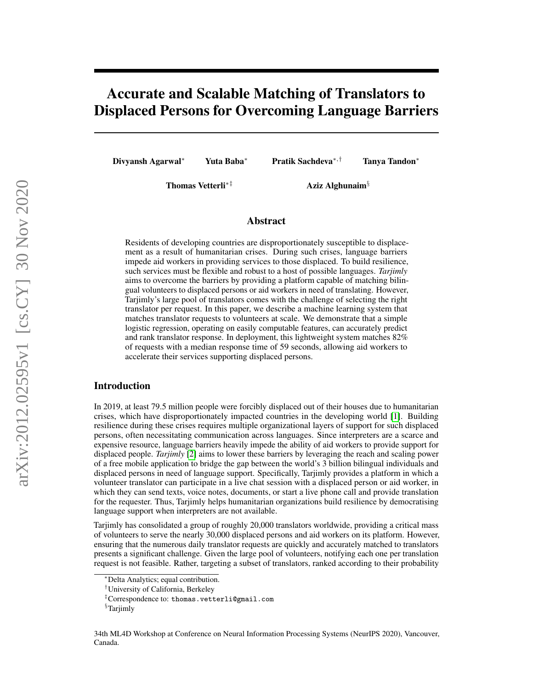# Accurate and Scalable Matching of Translators to Displaced Persons for Overcoming Language Barriers

Divyansh Agarwal<sup>∗</sup> Yuta Baba<sup>∗</sup> Pratik Sachdeva∗,† Tanya Tandon<sup>∗</sup>

Thomas Vetterli<sup>∗‡</sup> Aziz Alghunaim<sup>§</sup>

#### Abstract

Residents of developing countries are disproportionately susceptible to displacement as a result of humanitarian crises. During such crises, language barriers impede aid workers in providing services to those displaced. To build resilience, such services must be flexible and robust to a host of possible languages. *Tarjimly* aims to overcome the barriers by providing a platform capable of matching bilingual volunteers to displaced persons or aid workers in need of translating. However, Tarjimly's large pool of translators comes with the challenge of selecting the right translator per request. In this paper, we describe a machine learning system that matches translator requests to volunteers at scale. We demonstrate that a simple logistic regression, operating on easily computable features, can accurately predict and rank translator response. In deployment, this lightweight system matches 82% of requests with a median response time of 59 seconds, allowing aid workers to accelerate their services supporting displaced persons.

#### Introduction

In 2019, at least 79.5 million people were forcibly displaced out of their houses due to humanitarian crises, which have disproportionately impacted countries in the developing world [\[1\]](#page-5-0). Building resilience during these crises requires multiple organizational layers of support for such displaced persons, often necessitating communication across languages. Since interpreters are a scarce and expensive resource, language barriers heavily impede the ability of aid workers to provide support for displaced people. *Tarjimly* [\[2\]](#page-5-1) aims to lower these barriers by leveraging the reach and scaling power of a free mobile application to bridge the gap between the world's 3 billion bilingual individuals and displaced persons in need of language support. Specifically, Tarjimly provides a platform in which a volunteer translator can participate in a live chat session with a displaced person or aid worker, in which they can send texts, voice notes, documents, or start a live phone call and provide translation for the requester. Thus, Tarjimly helps humanitarian organizations build resilience by democratising language support when interpreters are not available.

Tarjimly has consolidated a group of roughly 20,000 translators worldwide, providing a critical mass of volunteers to serve the nearly 30,000 displaced persons and aid workers on its platform. However, ensuring that the numerous daily translator requests are quickly and accurately matched to translators presents a significant challenge. Given the large pool of volunteers, notifying each one per translation request is not feasible. Rather, targeting a subset of translators, ranked according to their probability

<sup>∗</sup>Delta Analytics; equal contribution.

<sup>†</sup>University of California, Berkeley

<sup>‡</sup>Correspondence to: thomas.vetterli@gmail.com

<sup>§</sup>Tarjimly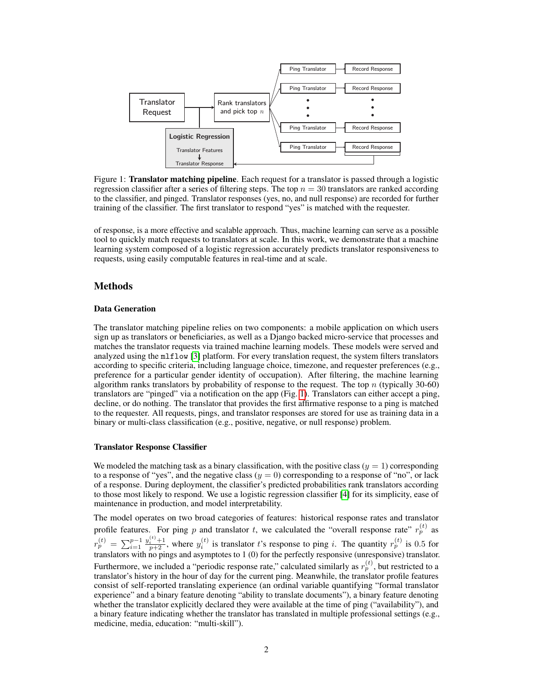<span id="page-1-0"></span>

Figure 1: **Translator matching pipeline**. Each request for a translator is passed through a logistic regression classifier after a series of filtering steps. The top  $n = 30$  translators are ranked according to the classifier, and pinged. Translator responses (yes, no, and null response) are recorded for further training of the classifier. The first translator to respond "yes" is matched with the requester.

of response, is a more effective and scalable approach. Thus, machine learning can serve as a possible tool to quickly match requests to translators at scale. In this work, we demonstrate that a machine learning system composed of a logistic regression accurately predicts translator responsiveness to requests, using easily computable features in real-time and at scale.

### Methods

#### Data Generation

The translator matching pipeline relies on two components: a mobile application on which users sign up as translators or beneficiaries, as well as a Django backed micro-service that processes and matches the translator requests via trained machine learning models. These models were served and analyzed using the mlflow [\[3\]](#page-5-2) platform. For every translation request, the system filters translators according to specific criteria, including language choice, timezone, and requester preferences (e.g., preference for a particular gender identity of occupation). After filtering, the machine learning algorithm ranks translators by probability of response to the request. The top  $n$  (typically 30-60) translators are "pinged" via a notification on the app (Fig. [1\)](#page-1-0). Translators can either accept a ping, decline, or do nothing. The translator that provides the first affirmative response to a ping is matched to the requester. All requests, pings, and translator responses are stored for use as training data in a binary or multi-class classification (e.g., positive, negative, or null response) problem.

#### Translator Response Classifier

We modeled the matching task as a binary classification, with the positive class  $(y = 1)$  corresponding to a response of "yes", and the negative class  $(y = 0)$  corresponding to a response of "no", or lack of a response. During deployment, the classifier's predicted probabilities rank translators according to those most likely to respond. We use a logistic regression classifier [\[4\]](#page-5-3) for its simplicity, ease of maintenance in production, and model interpretability.

The model operates on two broad categories of features: historical response rates and translator profile features. For ping p and translator t, we calculated the "overall response rate"  $r_p^{(t)}$  as  $r_p^{(t)} \, = \, \sum_{i=1}^{p-1}$  $y_i^{(t)}$  +1, where  $y_i^{(t)}$  is translator t's response to ping i. The quantity  $r_p^{(t)}$  is 0.5 for translators with no pings and asymptotes to 1 (0) for the perfectly responsive (unresponsive) translator. Furthermore, we included a "periodic response rate," calculated similarly as  $r_p^{(t)}$ , but restricted to a translator's history in the hour of day for the current ping. Meanwhile, the translator profile features consist of self-reported translating experience (an ordinal variable quantifying "formal translator experience" and a binary feature denoting "ability to translate documents"), a binary feature denoting whether the translator explicitly declared they were available at the time of ping ("availability"), and a binary feature indicating whether the translator has translated in multiple professional settings (e.g., medicine, media, education: "multi-skill").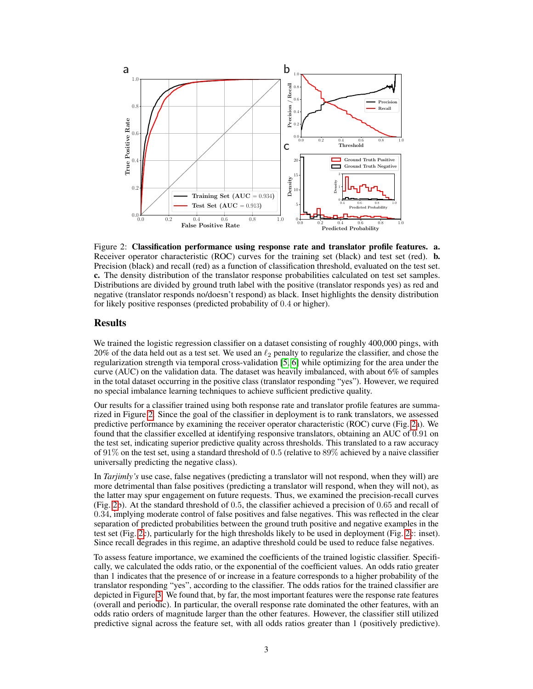

<span id="page-2-0"></span>Figure 2: Classification performance using response rate and translator profile features. a. Receiver operator characteristic (ROC) curves for the training set (black) and test set (red). **b.** Precision (black) and recall (red) as a function of classification threshold, evaluated on the test set. c. The density distribution of the translator response probabilities calculated on test set samples. Distributions are divided by ground truth label with the positive (translator responds yes) as red and negative (translator responds no/doesn't respond) as black. Inset highlights the density distribution for likely positive responses (predicted probability of 0.4 or higher).

### Results

We trained the logistic regression classifier on a dataset consisting of roughly 400,000 pings, with 20% of the data held out as a test set. We used an  $\ell_2$  penalty to regularize the classifier, and chose the regularization strength via temporal cross-validation [\[5,](#page-5-4) [6\]](#page-5-5) while optimizing for the area under the curve (AUC) on the validation data. The dataset was heavily imbalanced, with about 6% of samples in the total dataset occurring in the positive class (translator responding "yes"). However, we required no special imbalance learning techniques to achieve sufficient predictive quality.

Our results for a classifier trained using both response rate and translator profile features are summarized in Figure [2.](#page-2-0) Since the goal of the classifier in deployment is to rank translators, we assessed predictive performance by examining the receiver operator characteristic (ROC) curve (Fig. [2a](#page-2-0)). We found that the classifier excelled at identifying responsive translators, obtaining an AUC of 0.91 on the test set, indicating superior predictive quality across thresholds. This translated to a raw accuracy of 91% on the test set, using a standard threshold of 0.5 (relative to 89% achieved by a naive classifier universally predicting the negative class).

In *Tarjimly's* use case, false negatives (predicting a translator will not respond, when they will) are more detrimental than false positives (predicting a translator will respond, when they will not), as the latter may spur engagement on future requests. Thus, we examined the precision-recall curves (Fig. [2b](#page-2-0)). At the standard threshold of 0.5, the classifier achieved a precision of 0.65 and recall of 0.34, implying moderate control of false positives and false negatives. This was reflected in the clear separation of predicted probabilities between the ground truth positive and negative examples in the test set (Fig. [2c](#page-2-0)), particularly for the high thresholds likely to be used in deployment (Fig. [2c](#page-2-0): inset). Since recall degrades in this regime, an adaptive threshold could be used to reduce false negatives.

To assess feature importance, we examined the coefficients of the trained logistic classifier. Specifically, we calculated the odds ratio, or the exponential of the coefficient values. An odds ratio greater than 1 indicates that the presence of or increase in a feature corresponds to a higher probability of the translator responding "yes", according to the classifier. The odds ratios for the trained classifier are depicted in Figure [3.](#page-3-0) We found that, by far, the most important features were the response rate features (overall and periodic). In particular, the overall response rate dominated the other features, with an odds ratio orders of magnitude larger than the other features. However, the classifier still utilized predictive signal across the feature set, with all odds ratios greater than 1 (positively predictive).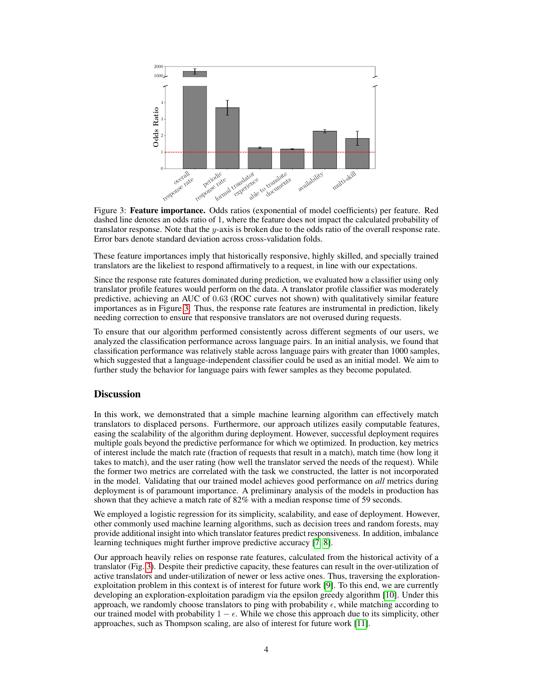<span id="page-3-0"></span>

Figure 3: Feature importance. Odds ratios (exponential of model coefficients) per feature. Red dashed line denotes an odds ratio of 1, where the feature does not impact the calculated probability of translator response. Note that the y-axis is broken due to the odds ratio of the overall response rate. Error bars denote standard deviation across cross-validation folds.

These feature importances imply that historically responsive, highly skilled, and specially trained translators are the likeliest to respond affirmatively to a request, in line with our expectations.

Since the response rate features dominated during prediction, we evaluated how a classifier using only translator profile features would perform on the data. A translator profile classifier was moderately predictive, achieving an AUC of 0.63 (ROC curves not shown) with qualitatively similar feature importances as in Figure [3.](#page-3-0) Thus, the response rate features are instrumental in prediction, likely needing correction to ensure that responsive translators are not overused during requests.

To ensure that our algorithm performed consistently across different segments of our users, we analyzed the classification performance across language pairs. In an initial analysis, we found that classification performance was relatively stable across language pairs with greater than 1000 samples, which suggested that a language-independent classifier could be used as an initial model. We aim to further study the behavior for language pairs with fewer samples as they become populated.

#### **Discussion**

In this work, we demonstrated that a simple machine learning algorithm can effectively match translators to displaced persons. Furthermore, our approach utilizes easily computable features, easing the scalability of the algorithm during deployment. However, successful deployment requires multiple goals beyond the predictive performance for which we optimized. In production, key metrics of interest include the match rate (fraction of requests that result in a match), match time (how long it takes to match), and the user rating (how well the translator served the needs of the request). While the former two metrics are correlated with the task we constructed, the latter is not incorporated in the model. Validating that our trained model achieves good performance on *all* metrics during deployment is of paramount importance. A preliminary analysis of the models in production has shown that they achieve a match rate of 82% with a median response time of 59 seconds.

We employed a logistic regression for its simplicity, scalability, and ease of deployment. However, other commonly used machine learning algorithms, such as decision trees and random forests, may provide additional insight into which translator features predict responsiveness. In addition, imbalance learning techniques might further improve predictive accuracy [\[7,](#page-5-6) [8\]](#page-5-7).

Our approach heavily relies on response rate features, calculated from the historical activity of a translator (Fig. [3\)](#page-3-0). Despite their predictive capacity, these features can result in the over-utilization of active translators and under-utilization of newer or less active ones. Thus, traversing the explorationexploitation problem in this context is of interest for future work [\[9\]](#page-5-8). To this end, we are currently developing an exploration-exploitation paradigm via the epsilon greedy algorithm [\[10\]](#page-5-9). Under this approach, we randomly choose translators to ping with probability  $\epsilon$ , while matching according to our trained model with probability  $1 - \epsilon$ . While we chose this approach due to its simplicity, other approaches, such as Thompson scaling, are also of interest for future work [\[11\]](#page-5-10).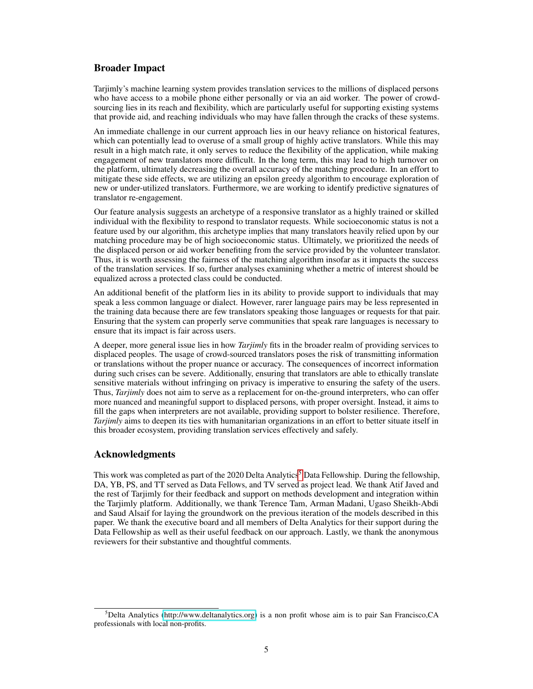## Broader Impact

Tarjimly's machine learning system provides translation services to the millions of displaced persons who have access to a mobile phone either personally or via an aid worker. The power of crowdsourcing lies in its reach and flexibility, which are particularly useful for supporting existing systems that provide aid, and reaching individuals who may have fallen through the cracks of these systems.

An immediate challenge in our current approach lies in our heavy reliance on historical features, which can potentially lead to overuse of a small group of highly active translators. While this may result in a high match rate, it only serves to reduce the flexibility of the application, while making engagement of new translators more difficult. In the long term, this may lead to high turnover on the platform, ultimately decreasing the overall accuracy of the matching procedure. In an effort to mitigate these side effects, we are utilizing an epsilon greedy algorithm to encourage exploration of new or under-utilized translators. Furthermore, we are working to identify predictive signatures of translator re-engagement.

Our feature analysis suggests an archetype of a responsive translator as a highly trained or skilled individual with the flexibility to respond to translator requests. While socioeconomic status is not a feature used by our algorithm, this archetype implies that many translators heavily relied upon by our matching procedure may be of high socioeconomic status. Ultimately, we prioritized the needs of the displaced person or aid worker benefiting from the service provided by the volunteer translator. Thus, it is worth assessing the fairness of the matching algorithm insofar as it impacts the success of the translation services. If so, further analyses examining whether a metric of interest should be equalized across a protected class could be conducted.

An additional benefit of the platform lies in its ability to provide support to individuals that may speak a less common language or dialect. However, rarer language pairs may be less represented in the training data because there are few translators speaking those languages or requests for that pair. Ensuring that the system can properly serve communities that speak rare languages is necessary to ensure that its impact is fair across users.

A deeper, more general issue lies in how *Tarjimly* fits in the broader realm of providing services to displaced peoples. The usage of crowd-sourced translators poses the risk of transmitting information or translations without the proper nuance or accuracy. The consequences of incorrect information during such crises can be severe. Additionally, ensuring that translators are able to ethically translate sensitive materials without infringing on privacy is imperative to ensuring the safety of the users. Thus, *Tarjimly* does not aim to serve as a replacement for on-the-ground interpreters, who can offer more nuanced and meaningful support to displaced persons, with proper oversight. Instead, it aims to fill the gaps when interpreters are not available, providing support to bolster resilience. Therefore, *Tarjimly* aims to deepen its ties with humanitarian organizations in an effort to better situate itself in this broader ecosystem, providing translation services effectively and safely.

# Acknowledgments

This work was completed as part of the 2020 Delta Analytics<sup>[5](#page-4-0)</sup> Data Fellowship. During the fellowship, DA, YB, PS, and TT served as Data Fellows, and TV served as project lead. We thank Atif Javed and the rest of Tarjimly for their feedback and support on methods development and integration within the Tarjimly platform. Additionally, we thank Terence Tam, Arman Madani, Ugaso Sheikh-Abdi and Saud Alsaif for laying the groundwork on the previous iteration of the models described in this paper. We thank the executive board and all members of Delta Analytics for their support during the Data Fellowship as well as their useful feedback on our approach. Lastly, we thank the anonymous reviewers for their substantive and thoughtful comments.

<span id="page-4-0"></span><sup>5</sup>Delta Analytics [\(http://www.deltanalytics.org\)](http://www.deltanalytics.org) is a non profit whose aim is to pair San Francisco,CA professionals with local non-profits.